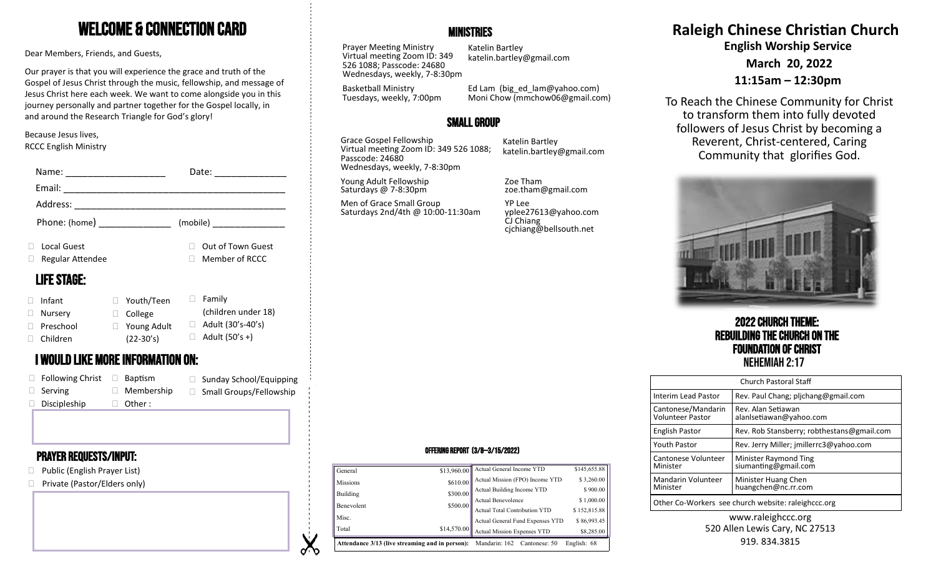# Welcome & Connection Card

Dear Members, Friends, and Guests,

Our prayer is that you will experience the grace and truth of the Gospel of Jesus Christ through the music, fellowship, and message of Jesus Christ here each week. We want to come alongside you in this journey personally and partner together for the Gospel locally, in and around the Research Triangle for God's glory!

#### Because Jesus lives, RCCC English Ministry

| Name:              |                                          | Date:                     | Wednesdays, weekly, 7-8:30pm                   |                                                             |                                                 |
|--------------------|------------------------------------------|---------------------------|------------------------------------------------|-------------------------------------------------------------|-------------------------------------------------|
| Email:             |                                          |                           | Young Adult Fellowship<br>Saturdays @ 7-8:30pm | Zoe Tham<br>zoe.tham@gmail.com                              |                                                 |
| Address:           |                                          |                           | Men of Grace Small Group                       | <b>YP Lee</b>                                               |                                                 |
| Phone: (home)      |                                          | (mobile)                  | Saturdays 2nd/4th @ 10:00-11:30am              | yplee27613@yahoo.com<br>CJ Chiang<br>cjchiang@bellsouth.net |                                                 |
| Local Guest        |                                          | Out of Town Guest         |                                                |                                                             |                                                 |
| Regular Attendee   |                                          | Member of RCCC            |                                                |                                                             |                                                 |
| <b>LIFE STAGE:</b> |                                          |                           |                                                |                                                             |                                                 |
| Infant             | $\Box$ Youth/Teen                        | $\Box$ Family             |                                                |                                                             |                                                 |
| Nursery            | $\Box$ College                           | (children under 18)       |                                                |                                                             |                                                 |
| Preschool          | $\Box$ Young Adult                       | $\Box$ Adult (30's-40's)  |                                                |                                                             | <b>2022 CHURCH THE</b>                          |
| Children           | $(22-30's)$                              | $\Box$ Adult (50's +)     |                                                |                                                             | <b>REBUILDING THE CHURC</b>                     |
|                    | <b>I WOULD LIKE MORE INFORMATION ON:</b> |                           |                                                |                                                             | <b>FOUNDATION OF CH</b><br><b>NEHEMIAH 2:17</b> |
| Following Christ   | $\Box$ Baptism                           | □ Sunday School/Equipping |                                                |                                                             | Church Pastoral Sta                             |
| Serving            | $\Box$ Membership                        | □ Small Groups/Fellowship |                                                |                                                             | Rev. Paul Chang: plic<br>Interim Lead Pastor    |

□ Other :

# Prayer requests/Input:

 $\square$  Discipleship

- □ Public (English Prayer List)
- □ Private (Pastor/Elders only)

# **MINISTRIES**

Prayer Meeting Ministry Virtual meeting Zoom ID: 349 526 1088; Passcode: 24680 Wednesdays, weekly, 7-8:30pm

Basketball Ministry Tuesdays, weekly, 7:00pm

Katelin Bartley katelin.bartley@gmail.com

Ed Lam (big\_ed\_lam@yahoo.com) Moni Chow (mmchow06@gmail.com)

# Small Group

Grace Gospel Fellowship Virtual meeting Zoom ID: 349 526 1088; Passcode: 24680 Wednesdays, weekly, 7-8:30pm

Katelin Bartley katelin.bartley@gmail.com

# **Raleigh Chinese Christian Church English Worship Service**

**March 20, 2022**

**11:15am – 12:30pm**

To Reach the Chinese Community for Christ to transform them into fully devoted followers of Jesus Christ by becoming a Reverent, Christ-centered, Caring Community that glorifies God.



2022 Church Theme: Rebuilding the Church on the **Foundation of Christ**<br>Nehemiah 2:17

| <b>Church Pastoral Staff</b>                        |                                               |  |  |  |
|-----------------------------------------------------|-----------------------------------------------|--|--|--|
| Interim Lead Pastor                                 | Rev. Paul Chang; plichang@gmail.com           |  |  |  |
| Cantonese/Mandarin<br><b>Volunteer Pastor</b>       | Rev. Alan Setiawan<br>alanlsetiawan@yahoo.com |  |  |  |
| <b>English Pastor</b>                               | Rev. Rob Stansberry; robthestans@gmail.com    |  |  |  |
| <b>Youth Pastor</b>                                 | Rev. Jerry Miller; jmillerrc3@yahoo.com       |  |  |  |
| Cantonese Volunteer<br>Minister                     | Minister Raymond Ting<br>siumanting@gmail.com |  |  |  |
| Mandarin Volunteer<br>Minister                      | Minister Huang Chen<br>huangchen@nc.rr.com    |  |  |  |
| Other Co-Workers see church website: raleighccc.org |                                               |  |  |  |

#### www.raleighccc.org 520 Allen Lewis Cary, NC 27513 919.834.3815

#### Offering Report (3/8—3/15/2022)

| General         | \$13,960.00 | Actual General Income YTD                                                          | \$145,655.88 |
|-----------------|-------------|------------------------------------------------------------------------------------|--------------|
| <b>Missions</b> | \$610.00    | Actual Mission (FPO) Income YTD                                                    | \$3,260.00   |
| Building        | \$300.00    | Actual Building Income YTD                                                         | \$900.00     |
|                 |             |                                                                                    | \$1,000.00   |
| Benevolent      | \$500.00    | Actual Benevolence<br>Actual Total Contribution YTD                                | \$152,815.88 |
| Misc.           |             | Actual General Fund Expenses YTD                                                   | \$86,993.45  |
| Total           | \$14,570.00 | <b>Actual Mission Expenses YTD</b>                                                 | \$8,285.00   |
|                 |             | <b>Attendance 3/13 (live streaming and in person):</b> Mandarin: 162 Cantonese: 50 | English: 68  |